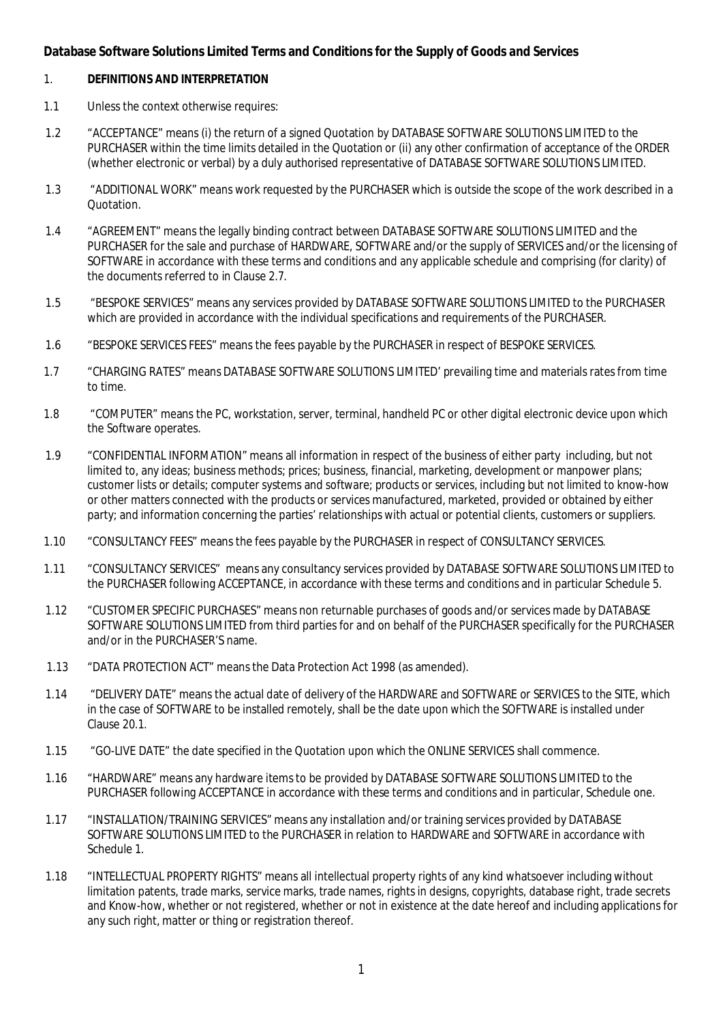# **Database Software Solutions Limited Terms and Conditions for the Supply of Goods and Services**

#### 1. **DEFINITIONS AND INTERPRETATION**

- 1.1 Unless the context otherwise requires:
- 1.2 "ACCEPTANCE" means (i) the return of a signed Quotation by DATABASE SOFTWARE SOLUTIONS LIMITED to the PURCHASER within the time limits detailed in the Quotation or (ii) any other confirmation of acceptance of the ORDER (whether electronic or verbal) by a duly authorised representative of DATABASE SOFTWARE SOLUTIONS LIMITED.
- 1.3 "ADDITIONAL WORK" means work requested by the PURCHASER which is outside the scope of the work described in a Quotation.
- 1.4 "AGREEMENT" means the legally binding contract between DATABASE SOFTWARE SOLUTIONS LIMITED and the PURCHASER for the sale and purchase of HARDWARE, SOFTWARE and/or the supply of SERVICES and/or the licensing of SOFTWARE in accordance with these terms and conditions and any applicable schedule and comprising (for clarity) of the documents referred to in Clause 2.7.
- 1.5 "BESPOKE SERVICES" means any services provided by DATABASE SOFTWARE SOLUTIONS LIMITED to the PURCHASER which are provided in accordance with the individual specifications and requirements of the PURCHASER.
- 1.6 "BESPOKE SERVICES FEES" means the fees payable by the PURCHASER in respect of BESPOKE SERVICES.
- 1.7 "CHARGING RATES" means DATABASE SOFTWARE SOLUTIONS LIMITED' prevailing time and materials rates from time to time.
- 1.8 "COMPUTER" means the PC, workstation, server, terminal, handheld PC or other digital electronic device upon which the Software operates.
- 1.9 "CONFIDENTIAL INFORMATION" means all information in respect of the business of either party including, but not limited to, any ideas; business methods; prices; business, financial, marketing, development or manpower plans; customer lists or details; computer systems and software; products or services, including but not limited to know-how or other matters connected with the products or services manufactured, marketed, provided or obtained by either party; and information concerning the parties' relationships with actual or potential clients, customers or suppliers.
- 1.10 "CONSULTANCY FEES" means the fees payable by the PURCHASER in respect of CONSULTANCY SERVICES.
- 1.11 "CONSULTANCY SERVICES" means any consultancy services provided by DATABASE SOFTWARE SOLUTIONS LIMITED to the PURCHASER following ACCEPTANCE, in accordance with these terms and conditions and in particular Schedule 5.
- 1.12 "CUSTOMER SPECIFIC PURCHASES" means non returnable purchases of goods and/or services made by DATABASE SOFTWARE SOLUTIONS LIMITED from third parties for and on behalf of the PURCHASER specifically for the PURCHASER and/or in the PURCHASER'S name.
- 1.13 "DATA PROTECTION ACT" means the Data Protection Act 1998 (as amended).
- 1.14 "DELIVERY DATE" means the actual date of delivery of the HARDWARE and SOFTWARE or SERVICES to the SITE, which in the case of SOFTWARE to be installed remotely, shall be the date upon which the SOFTWARE is installed under Clause 20.1.
- 1.15 "GO-LIVE DATE" the date specified in the Quotation upon which the ONLINE SERVICES shall commence.
- 1.16 "HARDWARE" means any hardware items to be provided by DATABASE SOFTWARE SOLUTIONS LIMITED to the PURCHASER following ACCEPTANCE in accordance with these terms and conditions and in particular, Schedule one.
- 1.17 "INSTALLATION/TRAINING SERVICES" means any installation and/or training services provided by DATABASE SOFTWARE SOLUTIONS LIMITED to the PURCHASER in relation to HARDWARE and SOFTWARE in accordance with Schedule 1.
- 1.18 "INTELLECTUAL PROPERTY RIGHTS" means all intellectual property rights of any kind whatsoever including without limitation patents, trade marks, service marks, trade names, rights in designs, copyrights, database right, trade secrets and Know-how, whether or not registered, whether or not in existence at the date hereof and including applications for any such right, matter or thing or registration thereof.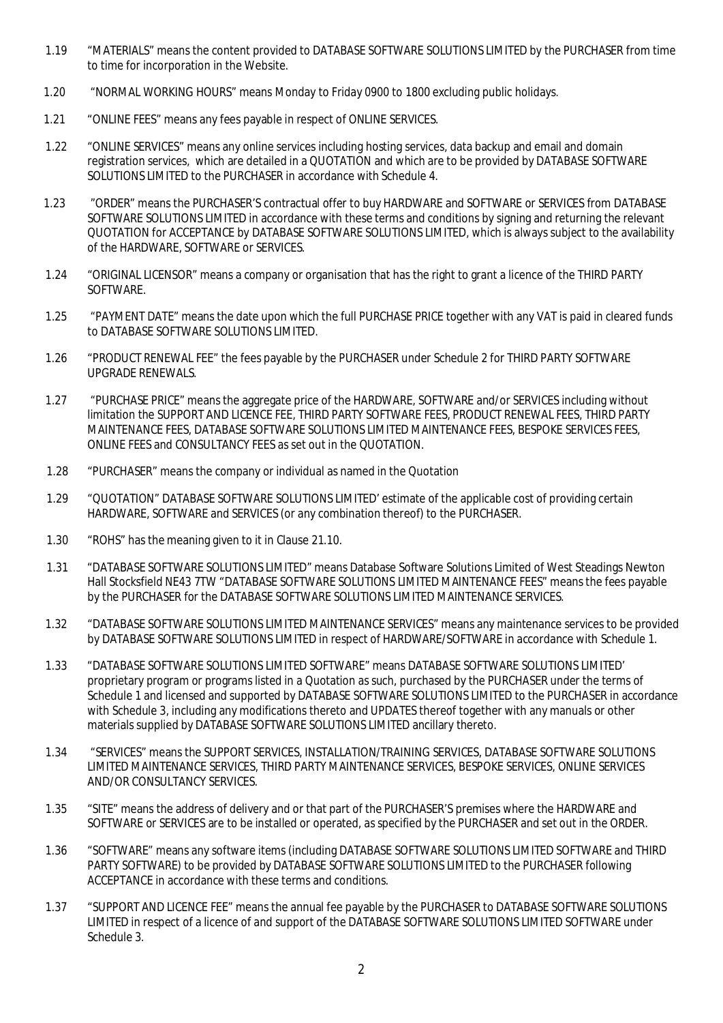- 1.19 "MATERIALS" means the content provided to DATABASE SOFTWARE SOLUTIONS LIMITED by the PURCHASER from time to time for incorporation in the Website.
- 1.20 "NORMAL WORKING HOURS" means Monday to Friday 0900 to 1800 excluding public holidays.
- 1.21 "ONLINE FEES" means any fees payable in respect of ONLINE SERVICES.
- 1.22 "ONLINE SERVICES" means any online services including hosting services, data backup and email and domain registration services, which are detailed in a QUOTATION and which are to be provided by DATABASE SOFTWARE SOLUTIONS LIMITED to the PURCHASER in accordance with Schedule 4.
- 1.23 "ORDER" means the PURCHASER'S contractual offer to buy HARDWARE and SOFTWARE or SERVICES from DATABASE SOFTWARE SOLUTIONS LIMITED in accordance with these terms and conditions by signing and returning the relevant QUOTATION for ACCEPTANCE by DATABASE SOFTWARE SOLUTIONS LIMITED, which is always subject to the availability of the HARDWARE, SOFTWARE or SERVICES.
- 1.24 "ORIGINAL LICENSOR" means a company or organisation that has the right to grant a licence of the THIRD PARTY SOFTWARE.
- 1.25 "PAYMENT DATE" means the date upon which the full PURCHASE PRICE together with any VAT is paid in cleared funds to DATABASE SOFTWARE SOLUTIONS LIMITED.
- 1.26 "PRODUCT RENEWAL FEE" the fees payable by the PURCHASER under Schedule 2 for THIRD PARTY SOFTWARE UPGRADE RENEWALS.
- 1.27 "PURCHASE PRICE" means the aggregate price of the HARDWARE, SOFTWARE and/or SERVICES including without limitation the SUPPORT AND LICENCE FEE, THIRD PARTY SOFTWARE FEES, PRODUCT RENEWAL FEES, THIRD PARTY MAINTENANCE FEES, DATABASE SOFTWARE SOLUTIONS LIMITED MAINTENANCE FEES, BESPOKE SERVICES FEES, ONLINE FEES and CONSULTANCY FEES as set out in the QUOTATION.
- 1.28 "PURCHASER" means the company or individual as named in the Quotation
- 1.29 "QUOTATION" DATABASE SOFTWARE SOLUTIONS LIMITED' estimate of the applicable cost of providing certain HARDWARE, SOFTWARE and SERVICES (or any combination thereof) to the PURCHASER.
- 1.30 "ROHS" has the meaning given to it in Clause 21.10.
- 1.31 "DATABASE SOFTWARE SOLUTIONS LIMITED" means Database Software Solutions Limited of West Steadings Newton Hall Stocksfield NE43 7TW "DATABASE SOFTWARE SOLUTIONS LIMITED MAINTENANCE FEES" means the fees payable by the PURCHASER for the DATABASE SOFTWARE SOLUTIONS LIMITED MAINTENANCE SERVICES.
- 1.32 "DATABASE SOFTWARE SOLUTIONS LIMITED MAINTENANCE SERVICES" means any maintenance services to be provided by DATABASE SOFTWARE SOLUTIONS LIMITED in respect of HARDWARE/SOFTWARE in accordance with Schedule 1.
- 1.33 "DATABASE SOFTWARE SOLUTIONS LIMITED SOFTWARE" means DATABASE SOFTWARE SOLUTIONS LIMITED' proprietary program or programs listed in a Quotation as such, purchased by the PURCHASER under the terms of Schedule 1 and licensed and supported by DATABASE SOFTWARE SOLUTIONS LIMITED to the PURCHASER in accordance with Schedule 3, including any modifications thereto and UPDATES thereof together with any manuals or other materials supplied by DATABASE SOFTWARE SOLUTIONS LIMITED ancillary thereto.
- 1.34 "SERVICES" means the SUPPORT SERVICES, INSTALLATION/TRAINING SERVICES, DATABASE SOFTWARE SOLUTIONS LIMITED MAINTENANCE SERVICES, THIRD PARTY MAINTENANCE SERVICES, BESPOKE SERVICES, ONLINE SERVICES AND/OR CONSULTANCY SERVICES.
- 1.35 "SITE" means the address of delivery and or that part of the PURCHASER'S premises where the HARDWARE and SOFTWARE or SERVICES are to be installed or operated, as specified by the PURCHASER and set out in the ORDER.
- 1.36 "SOFTWARE" means any software items (including DATABASE SOFTWARE SOLUTIONS LIMITED SOFTWARE and THIRD PARTY SOFTWARE) to be provided by DATABASE SOFTWARE SOLUTIONS LIMITED to the PURCHASER following ACCEPTANCE in accordance with these terms and conditions.
- 1.37 "SUPPORT AND LICENCE FEE" means the annual fee payable by the PURCHASER to DATABASE SOFTWARE SOLUTIONS LIMITED in respect of a licence of and support of the DATABASE SOFTWARE SOLUTIONS LIMITED SOFTWARE under Schedule 3.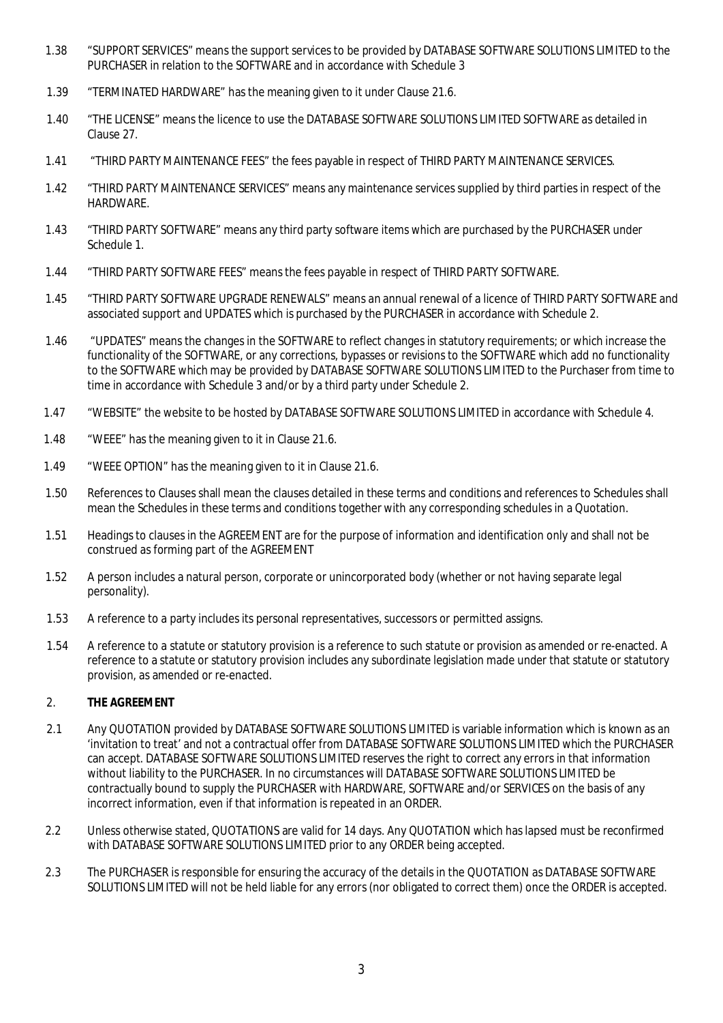- 1.38 "SUPPORT SERVICES" means the support services to be provided by DATABASE SOFTWARE SOLUTIONS LIMITED to the PURCHASER in relation to the SOFTWARE and in accordance with Schedule 3
- 1.39 "TERMINATED HARDWARE" has the meaning given to it under Clause 21.6.
- 1.40 "THE LICENSE" means the licence to use the DATABASE SOFTWARE SOLUTIONS LIMITED SOFTWARE as detailed in Clause 27.
- 1.41 "THIRD PARTY MAINTENANCE FEES" the fees payable in respect of THIRD PARTY MAINTENANCE SERVICES.
- 1.42 "THIRD PARTY MAINTENANCE SERVICES" means any maintenance services supplied by third parties in respect of the HARDWARE.
- 1.43 "THIRD PARTY SOFTWARE" means any third party software items which are purchased by the PURCHASER under Schedule 1.
- 1.44 "THIRD PARTY SOFTWARE FEES" means the fees payable in respect of THIRD PARTY SOFTWARE.
- 1.45 "THIRD PARTY SOFTWARE UPGRADE RENEWALS" means an annual renewal of a licence of THIRD PARTY SOFTWARE and associated support and UPDATES which is purchased by the PURCHASER in accordance with Schedule 2.
- 1.46 "UPDATES" means the changes in the SOFTWARE to reflect changes in statutory requirements; or which increase the functionality of the SOFTWARE, or any corrections, bypasses or revisions to the SOFTWARE which add no functionality to the SOFTWARE which may be provided by DATABASE SOFTWARE SOLUTIONS LIMITED to the Purchaser from time to time in accordance with Schedule 3 and/or by a third party under Schedule 2.
- 1.47 "WEBSITE" the website to be hosted by DATABASE SOFTWARE SOLUTIONS LIMITED in accordance with Schedule 4.
- 1.48 "WEEE" has the meaning given to it in Clause 21.6.
- 1.49 "WEEE OPTION" has the meaning given to it in Clause 21.6.
- 1.50 References to Clauses shall mean the clauses detailed in these terms and conditions and references to Schedules shall mean the Schedules in these terms and conditions together with any corresponding schedules in a Quotation.
- 1.51 Headings to clauses in the AGREEMENT are for the purpose of information and identification only and shall not be construed as forming part of the AGREEMENT
- 1.52 A person includes a natural person, corporate or unincorporated body (whether or not having separate legal personality).
- 1.53 A reference to a party includes its personal representatives, successors or permitted assigns.
- 1.54 A reference to a statute or statutory provision is a reference to such statute or provision as amended or re-enacted. A reference to a statute or statutory provision includes any subordinate legislation made under that statute or statutory provision, as amended or re-enacted.
- 2. **THE AGREEMENT**
- 2.1 Any QUOTATION provided by DATABASE SOFTWARE SOLUTIONS LIMITED is variable information which is known as an 'invitation to treat' and not a contractual offer from DATABASE SOFTWARE SOLUTIONS LIMITED which the PURCHASER can accept. DATABASE SOFTWARE SOLUTIONS LIMITED reserves the right to correct any errors in that information without liability to the PURCHASER. In no circumstances will DATABASE SOFTWARE SOLUTIONS LIMITED be contractually bound to supply the PURCHASER with HARDWARE, SOFTWARE and/or SERVICES on the basis of any incorrect information, even if that information is repeated in an ORDER.
- 2.2 Unless otherwise stated, QUOTATIONS are valid for 14 days. Any QUOTATION which has lapsed must be reconfirmed with DATABASE SOFTWARE SOLUTIONS LIMITED prior to any ORDER being accepted.
- 2.3 The PURCHASER is responsible for ensuring the accuracy of the details in the QUOTATION as DATABASE SOFTWARE SOLUTIONS LIMITED will not be held liable for any errors (nor obligated to correct them) once the ORDER is accepted.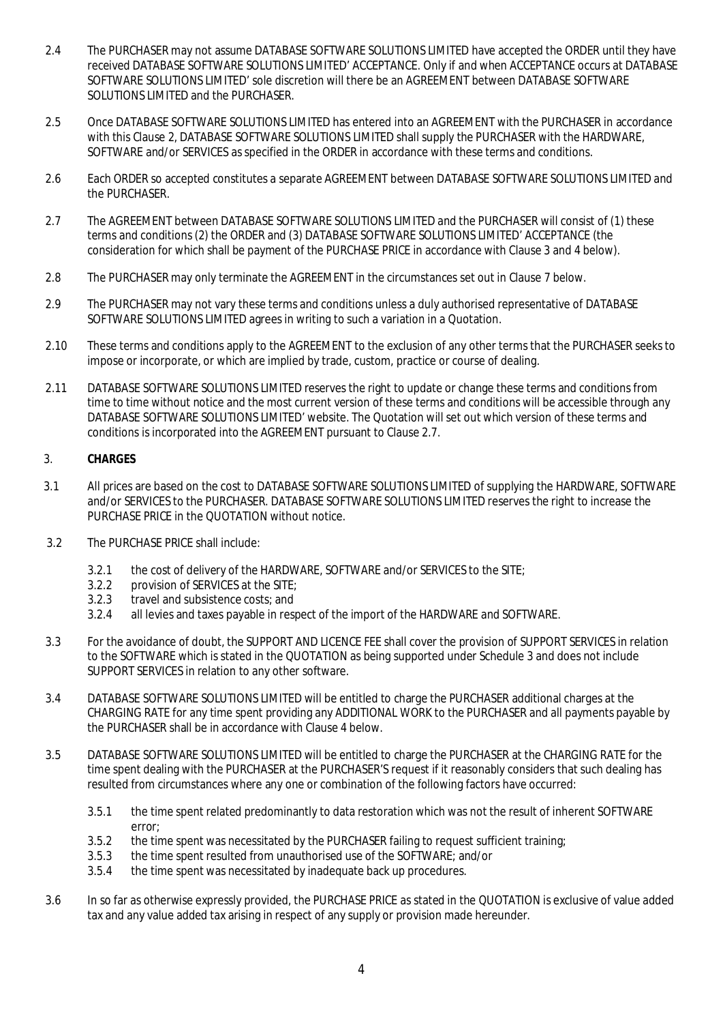- 2.4 The PURCHASER may not assume DATABASE SOFTWARE SOLUTIONS LIMITED have accepted the ORDER until they have received DATABASE SOFTWARE SOLUTIONS LIMITED' ACCEPTANCE. Only if and when ACCEPTANCE occurs at DATABASE SOFTWARE SOLUTIONS LIMITED' sole discretion will there be an AGREEMENT between DATABASE SOFTWARE SOLUTIONS LIMITED and the PURCHASER.
- 2.5 Once DATABASE SOFTWARE SOLUTIONS LIMITED has entered into an AGREEMENT with the PURCHASER in accordance with this Clause 2, DATABASE SOFTWARE SOLUTIONS LIMITED shall supply the PURCHASER with the HARDWARE, SOFTWARE and/or SERVICES as specified in the ORDER in accordance with these terms and conditions.
- 2.6 Each ORDER so accepted constitutes a separate AGREEMENT between DATABASE SOFTWARE SOLUTIONS LIMITED and the PURCHASER.
- 2.7 The AGREEMENT between DATABASE SOFTWARE SOLUTIONS LIMITED and the PURCHASER will consist of (1) these terms and conditions (2) the ORDER and (3) DATABASE SOFTWARE SOLUTIONS LIMITED' ACCEPTANCE (the consideration for which shall be payment of the PURCHASE PRICE in accordance with Clause 3 and 4 below).
- 2.8 The PURCHASER may only terminate the AGREEMENT in the circumstances set out in Clause 7 below.
- 2.9 The PURCHASER may not vary these terms and conditions unless a duly authorised representative of DATABASE SOFTWARE SOLUTIONS LIMITED agrees in writing to such a variation in a Quotation.
- 2.10 These terms and conditions apply to the AGREEMENT to the exclusion of any other terms that the PURCHASER seeks to impose or incorporate, or which are implied by trade, custom, practice or course of dealing.
- 2.11 DATABASE SOFTWARE SOLUTIONS LIMITED reserves the right to update or change these terms and conditions from time to time without notice and the most current version of these terms and conditions will be accessible through any DATABASE SOFTWARE SOLUTIONS LIMITED' website. The Quotation will set out which version of these terms and conditions is incorporated into the AGREEMENT pursuant to Clause 2.7.

### 3. **CHARGES**

- 3.1 All prices are based on the cost to DATABASE SOFTWARE SOLUTIONS LIMITED of supplying the HARDWARE, SOFTWARE and/or SERVICES to the PURCHASER. DATABASE SOFTWARE SOLUTIONS LIMITED reserves the right to increase the PURCHASE PRICE in the QUOTATION without notice.
- 3.2 The PURCHASE PRICE shall include:
	- 3.2.1 the cost of delivery of the HARDWARE, SOFTWARE and/or SERVICES to the SITE;
	- 3.2.2 provision of SERVICES at the SITE;
	- 3.2.3 travel and subsistence costs; and
	- 3.2.4 all levies and taxes payable in respect of the import of the HARDWARE and SOFTWARE.
- 3.3 For the avoidance of doubt, the SUPPORT AND LICENCE FEE shall cover the provision of SUPPORT SERVICES in relation to the SOFTWARE which is stated in the QUOTATION as being supported under Schedule 3 and does not include SUPPORT SERVICES in relation to any other software.
- 3.4 DATABASE SOFTWARE SOLUTIONS LIMITED will be entitled to charge the PURCHASER additional charges at the CHARGING RATE for any time spent providing any ADDITIONAL WORK to the PURCHASER and all payments payable by the PURCHASER shall be in accordance with Clause 4 below.
- 3.5 DATABASE SOFTWARE SOLUTIONS LIMITED will be entitled to charge the PURCHASER at the CHARGING RATE for the time spent dealing with the PURCHASER at the PURCHASER'S request if it reasonably considers that such dealing has resulted from circumstances where any one or combination of the following factors have occurred:
	- 3.5.1 the time spent related predominantly to data restoration which was not the result of inherent SOFTWARE error;
	- 3.5.2 the time spent was necessitated by the PURCHASER failing to request sufficient training;
	- 3.5.3 the time spent resulted from unauthorised use of the SOFTWARE; and/or
	- 3.5.4 the time spent was necessitated by inadequate back up procedures.
- 3.6 In so far as otherwise expressly provided, the PURCHASE PRICE as stated in the QUOTATION is exclusive of value added tax and any value added tax arising in respect of any supply or provision made hereunder.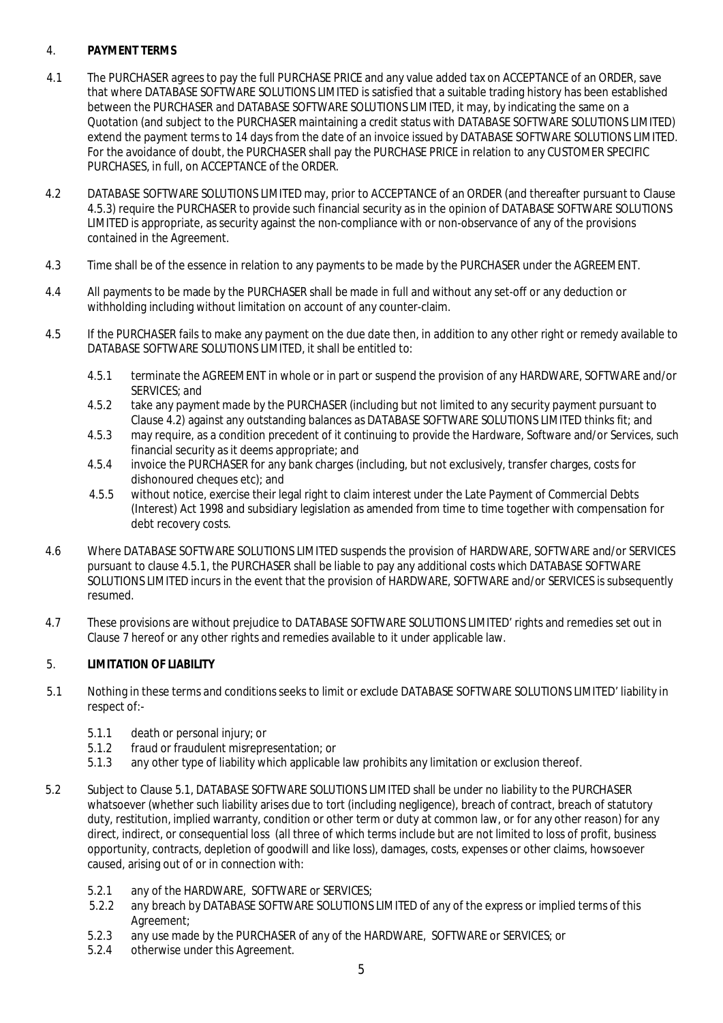# 4. **PAYMENT TERMS**

- 4.1 The PURCHASER agrees to pay the full PURCHASE PRICE and any value added tax on ACCEPTANCE of an ORDER, save that where DATABASE SOFTWARE SOLUTIONS LIMITED is satisfied that a suitable trading history has been established between the PURCHASER and DATABASE SOFTWARE SOLUTIONS LIMITED, it may, by indicating the same on a Quotation (and subject to the PURCHASER maintaining a credit status with DATABASE SOFTWARE SOLUTIONS LIMITED) extend the payment terms to 14 days from the date of an invoice issued by DATABASE SOFTWARE SOLUTIONS LIMITED. For the avoidance of doubt, the PURCHASER shall pay the PURCHASE PRICE in relation to any CUSTOMER SPECIFIC PURCHASES, in full, on ACCEPTANCE of the ORDER.
- 4.2 DATABASE SOFTWARE SOLUTIONS LIMITED may, prior to ACCEPTANCE of an ORDER (and thereafter pursuant to Clause 4.5.3) require the PURCHASER to provide such financial security as in the opinion of DATABASE SOFTWARE SOLUTIONS LIMITED is appropriate, as security against the non-compliance with or non-observance of any of the provisions contained in the Agreement.
- 4.3 Time shall be of the essence in relation to any payments to be made by the PURCHASER under the AGREEMENT.
- 4.4 All payments to be made by the PURCHASER shall be made in full and without any set-off or any deduction or withholding including without limitation on account of any counter-claim.
- 4.5 If the PURCHASER fails to make any payment on the due date then, in addition to any other right or remedy available to DATABASE SOFTWARE SOLUTIONS LIMITED, it shall be entitled to:
	- 4.5.1 terminate the AGREEMENT in whole or in part or suspend the provision of any HARDWARE, SOFTWARE and/or SERVICES; and
	- 4.5.2 take any payment made by the PURCHASER (including but not limited to any security payment pursuant to Clause 4.2) against any outstanding balances as DATABASE SOFTWARE SOLUTIONS LIMITED thinks fit; and
	- 4.5.3 may require, as a condition precedent of it continuing to provide the Hardware, Software and/or Services, such financial security as it deems appropriate; and
	- 4.5.4 invoice the PURCHASER for any bank charges (including, but not exclusively, transfer charges, costs for dishonoured cheques etc); and
	- 4.5.5 without notice, exercise their legal right to claim interest under the Late Payment of Commercial Debts (Interest) Act 1998 and subsidiary legislation as amended from time to time together with compensation for debt recovery costs.
- 4.6 Where DATABASE SOFTWARE SOLUTIONS LIMITED suspends the provision of HARDWARE, SOFTWARE and/or SERVICES pursuant to clause 4.5.1, the PURCHASER shall be liable to pay any additional costs which DATABASE SOFTWARE SOLUTIONS LIMITED incurs in the event that the provision of HARDWARE, SOFTWARE and/or SERVICES is subsequently resumed.
- 4.7 These provisions are without prejudice to DATABASE SOFTWARE SOLUTIONS LIMITED' rights and remedies set out in Clause 7 hereof or any other rights and remedies available to it under applicable law.

# 5. **LIMITATION OF LIABILITY**

- 5.1 Nothing in these terms and conditions seeks to limit or exclude DATABASE SOFTWARE SOLUTIONS LIMITED' liability in respect of:-
	- 5.1.1 death or personal injury; or
	- 5.1.2 fraud or fraudulent misrepresentation; or
	- 5.1.3 any other type of liability which applicable law prohibits any limitation or exclusion thereof.
- 5.2 Subject to Clause 5.1, DATABASE SOFTWARE SOLUTIONS LIMITED shall be under no liability to the PURCHASER whatsoever (whether such liability arises due to tort (including negligence), breach of contract, breach of statutory duty, restitution, implied warranty, condition or other term or duty at common law, or for any other reason) for any direct, indirect, or consequential loss (all three of which terms include but are not limited to loss of profit, business opportunity, contracts, depletion of goodwill and like loss), damages, costs, expenses or other claims, howsoever caused, arising out of or in connection with:
	- 5.2.1 any of the HARDWARE, SOFTWARE or SERVICES;
	- 5.2.2 any breach by DATABASE SOFTWARE SOLUTIONS LIMITED of any of the express or implied terms of this Agreement;
	- 5.2.3 any use made by the PURCHASER of any of the HARDWARE, SOFTWARE or SERVICES; or
	- 5.2.4 otherwise under this Agreement.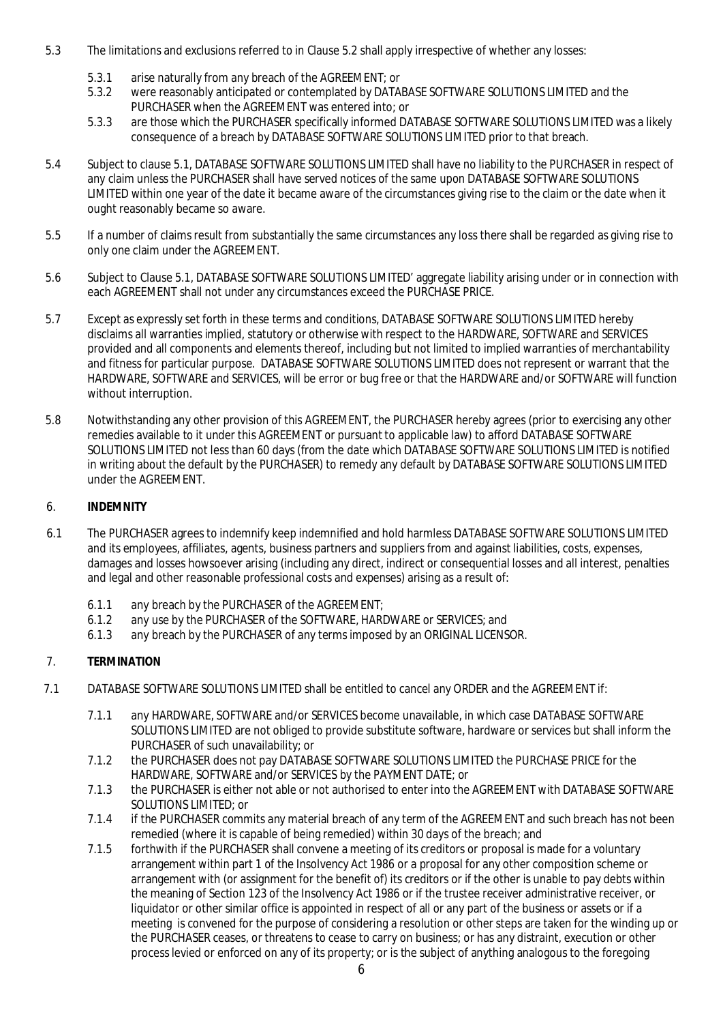- 5.3 The limitations and exclusions referred to in Clause 5.2 shall apply irrespective of whether any losses:
	- 5.3.1 arise naturally from any breach of the AGREEMENT; or
	- 5.3.2 were reasonably anticipated or contemplated by DATABASE SOFTWARE SOLUTIONS LIMITED and the PURCHASER when the AGREEMENT was entered into; or
	- 5.3.3 are those which the PURCHASER specifically informed DATABASE SOFTWARE SOLUTIONS LIMITED was a likely consequence of a breach by DATABASE SOFTWARE SOLUTIONS LIMITED prior to that breach.
- 5.4 Subject to clause 5.1, DATABASE SOFTWARE SOLUTIONS LIMITED shall have no liability to the PURCHASER in respect of any claim unless the PURCHASER shall have served notices of the same upon DATABASE SOFTWARE SOLUTIONS LIMITED within one year of the date it became aware of the circumstances giving rise to the claim or the date when it ought reasonably became so aware.
- 5.5 If a number of claims result from substantially the same circumstances any loss there shall be regarded as giving rise to only one claim under the AGREEMENT.
- 5.6 Subject to Clause 5.1, DATABASE SOFTWARE SOLUTIONS LIMITED' aggregate liability arising under or in connection with each AGREEMENT shall not under any circumstances exceed the PURCHASE PRICE.
- 5.7 Except as expressly set forth in these terms and conditions, DATABASE SOFTWARE SOLUTIONS LIMITED hereby disclaims all warranties implied, statutory or otherwise with respect to the HARDWARE, SOFTWARE and SERVICES provided and all components and elements thereof, including but not limited to implied warranties of merchantability and fitness for particular purpose. DATABASE SOFTWARE SOLUTIONS LIMITED does not represent or warrant that the HARDWARE, SOFTWARE and SERVICES, will be error or bug free or that the HARDWARE and/or SOFTWARE will function without interruption.
- 5.8 Notwithstanding any other provision of this AGREEMENT, the PURCHASER hereby agrees (prior to exercising any other remedies available to it under this AGREEMENT or pursuant to applicable law) to afford DATABASE SOFTWARE SOLUTIONS LIMITED not less than 60 days (from the date which DATABASE SOFTWARE SOLUTIONS LIMITED is notified in writing about the default by the PURCHASER) to remedy any default by DATABASE SOFTWARE SOLUTIONS LIMITED under the AGREEMENT.

# 6. **INDEMNITY**

- 6.1 The PURCHASER agrees to indemnify keep indemnified and hold harmless DATABASE SOFTWARE SOLUTIONS LIMITED and its employees, affiliates, agents, business partners and suppliers from and against liabilities, costs, expenses, damages and losses howsoever arising (including any direct, indirect or consequential losses and all interest, penalties and legal and other reasonable professional costs and expenses) arising as a result of:
	- 6.1.1 any breach by the PURCHASER of the AGREEMENT;
	- 6.1.2 any use by the PURCHASER of the SOFTWARE, HARDWARE or SERVICES; and
	- 6.1.3 any breach by the PURCHASER of any terms imposed by an ORIGINAL LICENSOR.
- 7. **TERMINATION**
- 7.1 DATABASE SOFTWARE SOLUTIONS LIMITED shall be entitled to cancel any ORDER and the AGREEMENT if:
	- 7.1.1 any HARDWARE, SOFTWARE and/or SERVICES become unavailable, in which case DATABASE SOFTWARE SOLUTIONS LIMITED are not obliged to provide substitute software, hardware or services but shall inform the PURCHASER of such unavailability; or
	- 7.1.2 the PURCHASER does not pay DATABASE SOFTWARE SOLUTIONS LIMITED the PURCHASE PRICE for the HARDWARE, SOFTWARE and/or SERVICES by the PAYMENT DATE; or
	- 7.1.3 the PURCHASER is either not able or not authorised to enter into the AGREEMENT with DATABASE SOFTWARE SOLUTIONS LIMITED; or
	- 7.1.4 if the PURCHASER commits any material breach of any term of the AGREEMENT and such breach has not been remedied (where it is capable of being remedied) within 30 days of the breach; and
	- 7.1.5 forthwith if the PURCHASER shall convene a meeting of its creditors or proposal is made for a voluntary arrangement within part 1 of the Insolvency Act 1986 or a proposal for any other composition scheme or arrangement with (or assignment for the benefit of) its creditors or if the other is unable to pay debts within the meaning of Section 123 of the Insolvency Act 1986 or if the trustee receiver administrative receiver, or liquidator or other similar office is appointed in respect of all or any part of the business or assets or if a meeting is convened for the purpose of considering a resolution or other steps are taken for the winding up or the PURCHASER ceases, or threatens to cease to carry on business; or has any distraint, execution or other process levied or enforced on any of its property; or is the subject of anything analogous to the foregoing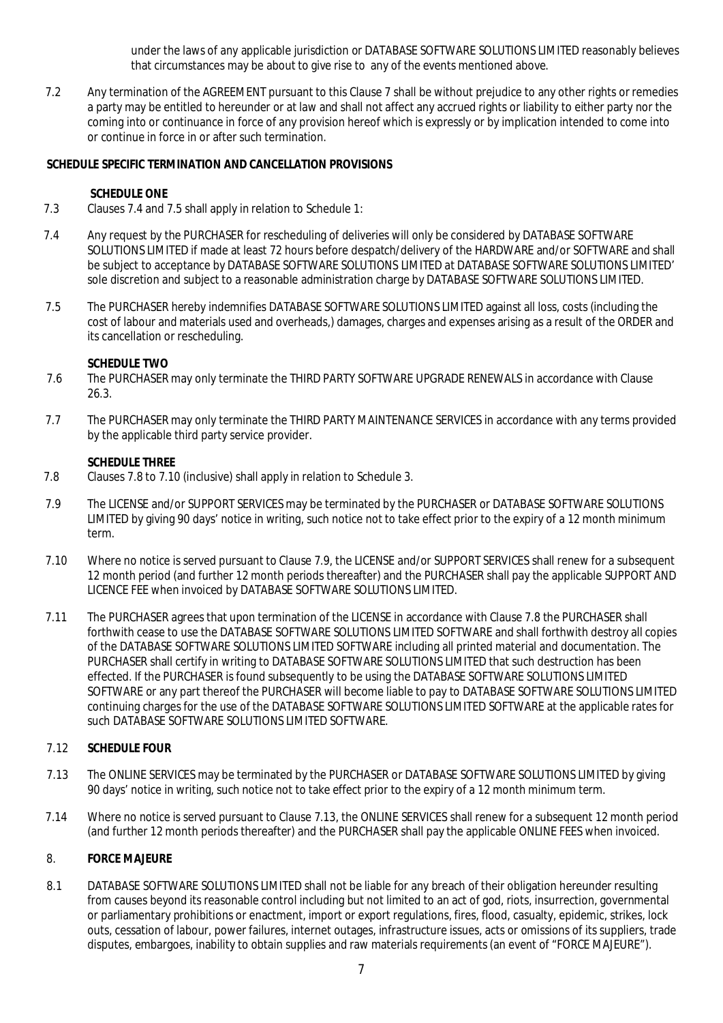under the laws of any applicable jurisdiction or DATABASE SOFTWARE SOLUTIONS LIMITED reasonably believes that circumstances may be about to give rise to any of the events mentioned above.

7.2 Any termination of the AGREEMENT pursuant to this Clause 7 shall be without prejudice to any other rights or remedies a party may be entitled to hereunder or at law and shall not affect any accrued rights or liability to either party nor the coming into or continuance in force of any provision hereof which is expressly or by implication intended to come into or continue in force in or after such termination.

## **SCHEDULE SPECIFIC TERMINATION AND CANCELLATION PROVISIONS**

 **SCHEDULE ONE** 

- 7.3 Clauses 7.4 and 7.5 shall apply in relation to Schedule 1:
- 7.4 Any request by the PURCHASER for rescheduling of deliveries will only be considered by DATABASE SOFTWARE SOLUTIONS LIMITED if made at least 72 hours before despatch/delivery of the HARDWARE and/or SOFTWARE and shall be subject to acceptance by DATABASE SOFTWARE SOLUTIONS LIMITED at DATABASE SOFTWARE SOLUTIONS LIMITED' sole discretion and subject to a reasonable administration charge by DATABASE SOFTWARE SOLUTIONS LIMITED.
- 7.5 The PURCHASER hereby indemnifies DATABASE SOFTWARE SOLUTIONS LIMITED against all loss, costs (including the cost of labour and materials used and overheads,) damages, charges and expenses arising as a result of the ORDER and its cancellation or rescheduling.

**SCHEDULE TWO** 

- 7.6 The PURCHASER may only terminate the THIRD PARTY SOFTWARE UPGRADE RENEWALS in accordance with Clause 26.3.
- 7.7 The PURCHASER may only terminate the THIRD PARTY MAINTENANCE SERVICES in accordance with any terms provided by the applicable third party service provider.

### **SCHEDULE THREE**

- 7.8 Clauses 7.8 to 7.10 (inclusive) shall apply in relation to Schedule 3.
- 7.9 The LICENSE and/or SUPPORT SERVICES may be terminated by the PURCHASER or DATABASE SOFTWARE SOLUTIONS LIMITED by giving 90 days' notice in writing, such notice not to take effect prior to the expiry of a 12 month minimum term.
- 7.10 Where no notice is served pursuant to Clause 7.9, the LICENSE and/or SUPPORT SERVICES shall renew for a subsequent 12 month period (and further 12 month periods thereafter) and the PURCHASER shall pay the applicable SUPPORT AND LICENCE FEE when invoiced by DATABASE SOFTWARE SOLUTIONS LIMITED.
- 7.11 The PURCHASER agrees that upon termination of the LICENSE in accordance with Clause 7.8 the PURCHASER shall forthwith cease to use the DATABASE SOFTWARE SOLUTIONS LIMITED SOFTWARE and shall forthwith destroy all copies of the DATABASE SOFTWARE SOLUTIONS LIMITED SOFTWARE including all printed material and documentation. The PURCHASER shall certify in writing to DATABASE SOFTWARE SOLUTIONS LIMITED that such destruction has been effected. If the PURCHASER is found subsequently to be using the DATABASE SOFTWARE SOLUTIONS LIMITED SOFTWARE or any part thereof the PURCHASER will become liable to pay to DATABASE SOFTWARE SOLUTIONS LIMITED continuing charges for the use of the DATABASE SOFTWARE SOLUTIONS LIMITED SOFTWARE at the applicable rates for such DATABASE SOFTWARE SOLUTIONS LIMITED SOFTWARE.

### 7.12 **SCHEDULE FOUR**

- 7.13 The ONLINE SERVICES may be terminated by the PURCHASER or DATABASE SOFTWARE SOLUTIONS LIMITED by giving 90 days' notice in writing, such notice not to take effect prior to the expiry of a 12 month minimum term.
- 7.14 Where no notice is served pursuant to Clause 7.13, the ONLINE SERVICES shall renew for a subsequent 12 month period (and further 12 month periods thereafter) and the PURCHASER shall pay the applicable ONLINE FEES when invoiced.

## 8. **FORCE MAJEURE**

 8.1 DATABASE SOFTWARE SOLUTIONS LIMITED shall not be liable for any breach of their obligation hereunder resulting from causes beyond its reasonable control including but not limited to an act of god, riots, insurrection, governmental or parliamentary prohibitions or enactment, import or export regulations, fires, flood, casualty, epidemic, strikes, lock outs, cessation of labour, power failures, internet outages, infrastructure issues, acts or omissions of its suppliers, trade disputes, embargoes, inability to obtain supplies and raw materials requirements (an event of "FORCE MAJEURE").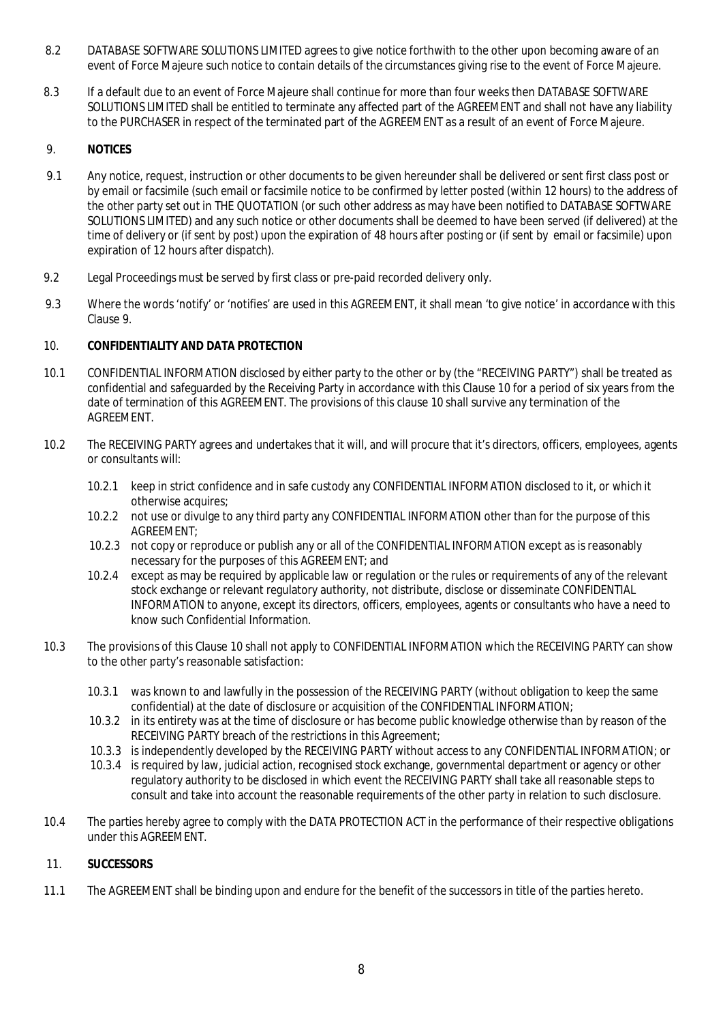- 8.2 DATABASE SOFTWARE SOLUTIONS LIMITED agrees to give notice forthwith to the other upon becoming aware of an event of Force Majeure such notice to contain details of the circumstances giving rise to the event of Force Majeure.
- 8.3 If a default due to an event of Force Majeure shall continue for more than four weeks then DATABASE SOFTWARE SOLUTIONS LIMITED shall be entitled to terminate any affected part of the AGREEMENT and shall not have any liability to the PURCHASER in respect of the terminated part of the AGREEMENT as a result of an event of Force Majeure.
- 9. **NOTICES**
- 9.1 Any notice, request, instruction or other documents to be given hereunder shall be delivered or sent first class post or by email or facsimile (such email or facsimile notice to be confirmed by letter posted (within 12 hours) to the address of the other party set out in THE QUOTATION (or such other address as may have been notified to DATABASE SOFTWARE SOLUTIONS LIMITED) and any such notice or other documents shall be deemed to have been served (if delivered) at the time of delivery or (if sent by post) upon the expiration of 48 hours after posting or (if sent by email or facsimile) upon expiration of 12 hours after dispatch).
- 9.2 Legal Proceedings must be served by first class or pre-paid recorded delivery only.
- 9.3 Where the words 'notify' or 'notifies' are used in this AGREEMENT, it shall mean 'to give notice' in accordance with this Clause 9.
- 10. **CONFIDENTIALITY AND DATA PROTECTION**
- 10.1 CONFIDENTIAL INFORMATION disclosed by either party to the other or by (the "RECEIVING PARTY") shall be treated as confidential and safeguarded by the Receiving Party in accordance with this Clause 10 for a period of six years from the date of termination of this AGREEMENT. The provisions of this clause 10 shall survive any termination of the AGREEMENT.
- 10.2 The RECEIVING PARTY agrees and undertakes that it will, and will procure that it's directors, officers, employees, agents or consultants will:
	- 10.2.1 keep in strict confidence and in safe custody any CONFIDENTIAL INFORMATION disclosed to it, or which it otherwise acquires;
	- 10.2.2 not use or divulge to any third party any CONFIDENTIAL INFORMATION other than for the purpose of this AGREEMENT;
	- 10.2.3 not copy or reproduce or publish any or all of the CONFIDENTIAL INFORMATION except as is reasonably necessary for the purposes of this AGREEMENT; and
	- 10.2.4 except as may be required by applicable law or regulation or the rules or requirements of any of the relevant stock exchange or relevant regulatory authority, not distribute, disclose or disseminate CONFIDENTIAL INFORMATION to anyone, except its directors, officers, employees, agents or consultants who have a need to know such Confidential Information.
- 10.3 The provisions of this Clause 10 shall not apply to CONFIDENTIAL INFORMATION which the RECEIVING PARTY can show to the other party's reasonable satisfaction:
	- 10.3.1 was known to and lawfully in the possession of the RECEIVING PARTY (without obligation to keep the same confidential) at the date of disclosure or acquisition of the CONFIDENTIAL INFORMATION;
	- 10.3.2 in its entirety was at the time of disclosure or has become public knowledge otherwise than by reason of the RECEIVING PARTY breach of the restrictions in this Agreement;
	- 10.3.3 is independently developed by the RECEIVING PARTY without access to any CONFIDENTIAL INFORMATION; or
	- 10.3.4 is required by law, judicial action, recognised stock exchange, governmental department or agency or other regulatory authority to be disclosed in which event the RECEIVING PARTY shall take all reasonable steps to consult and take into account the reasonable requirements of the other party in relation to such disclosure.
- 10.4 The parties hereby agree to comply with the DATA PROTECTION ACT in the performance of their respective obligations under this AGREEMENT.
- 11. **SUCCESSORS**
- 11.1 The AGREEMENT shall be binding upon and endure for the benefit of the successors in title of the parties hereto.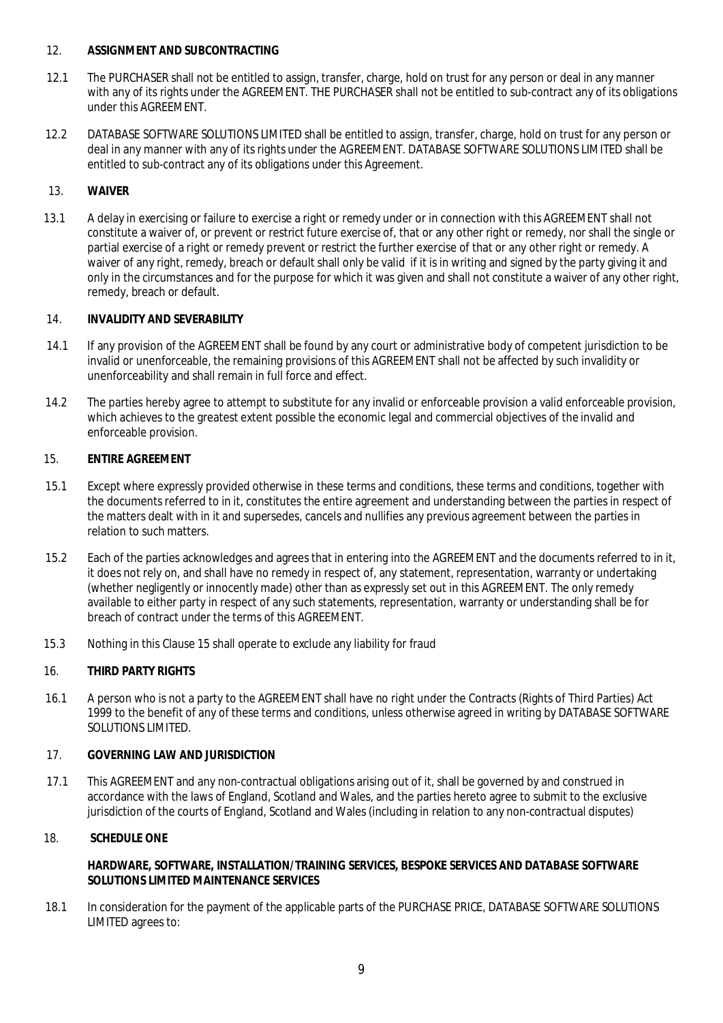#### 12. **ASSIGNMENT AND SUBCONTRACTING**

- 12.1 The PURCHASER shall not be entitled to assign, transfer, charge, hold on trust for any person or deal in any manner with any of its rights under the AGREEMENT. THE PURCHASER shall not be entitled to sub-contract any of its obligations under this AGREEMENT.
- 12.2 DATABASE SOFTWARE SOLUTIONS LIMITED shall be entitled to assign, transfer, charge, hold on trust for any person or deal in any manner with any of its rights under the AGREEMENT. DATABASE SOFTWARE SOLUTIONS LIMITED shall be entitled to sub-contract any of its obligations under this Agreement.

### 13. **WAIVER**

13.1 A delay in exercising or failure to exercise a right or remedy under or in connection with this AGREEMENT shall not constitute a waiver of, or prevent or restrict future exercise of, that or any other right or remedy, nor shall the single or partial exercise of a right or remedy prevent or restrict the further exercise of that or any other right or remedy. A waiver of any right, remedy, breach or default shall only be valid if it is in writing and signed by the party giving it and only in the circumstances and for the purpose for which it was given and shall not constitute a waiver of any other right, remedy, breach or default.

#### 14. **INVALIDITY AND SEVERABILITY**

- 14.1 If any provision of the AGREEMENT shall be found by any court or administrative body of competent jurisdiction to be invalid or unenforceable, the remaining provisions of this AGREEMENT shall not be affected by such invalidity or unenforceability and shall remain in full force and effect.
- 14.2 The parties hereby agree to attempt to substitute for any invalid or enforceable provision a valid enforceable provision, which achieves to the greatest extent possible the economic legal and commercial objectives of the invalid and enforceable provision.

### 15. **ENTIRE AGREEMENT**

- 15.1 Except where expressly provided otherwise in these terms and conditions, these terms and conditions, together with the documents referred to in it, constitutes the entire agreement and understanding between the parties in respect of the matters dealt with in it and supersedes, cancels and nullifies any previous agreement between the parties in relation to such matters.
- 15.2 Each of the parties acknowledges and agrees that in entering into the AGREEMENT and the documents referred to in it, it does not rely on, and shall have no remedy in respect of, any statement, representation, warranty or undertaking (whether negligently or innocently made) other than as expressly set out in this AGREEMENT. The only remedy available to either party in respect of any such statements, representation, warranty or understanding shall be for breach of contract under the terms of this AGREEMENT.
- 15.3 Nothing in this Clause 15 shall operate to exclude any liability for fraud

### 16. **THIRD PARTY RIGHTS**

- 16.1 A person who is not a party to the AGREEMENT shall have no right under the Contracts (Rights of Third Parties) Act 1999 to the benefit of any of these terms and conditions, unless otherwise agreed in writing by DATABASE SOFTWARE SOLUTIONS LIMITED.
- 17. **GOVERNING LAW AND JURISDICTION**
- 17.1 This AGREEMENT and any non-contractual obligations arising out of it, shall be governed by and construed in accordance with the laws of England, Scotland and Wales, and the parties hereto agree to submit to the exclusive jurisdiction of the courts of England, Scotland and Wales (including in relation to any non-contractual disputes)
- 18. **SCHEDULE ONE**

 **HARDWARE, SOFTWARE, INSTALLATION/TRAINING SERVICES, BESPOKE SERVICES AND DATABASE SOFTWARE SOLUTIONS LIMITED MAINTENANCE SERVICES** 

18.1 In consideration for the payment of the applicable parts of the PURCHASE PRICE, DATABASE SOFTWARE SOLUTIONS LIMITED agrees to: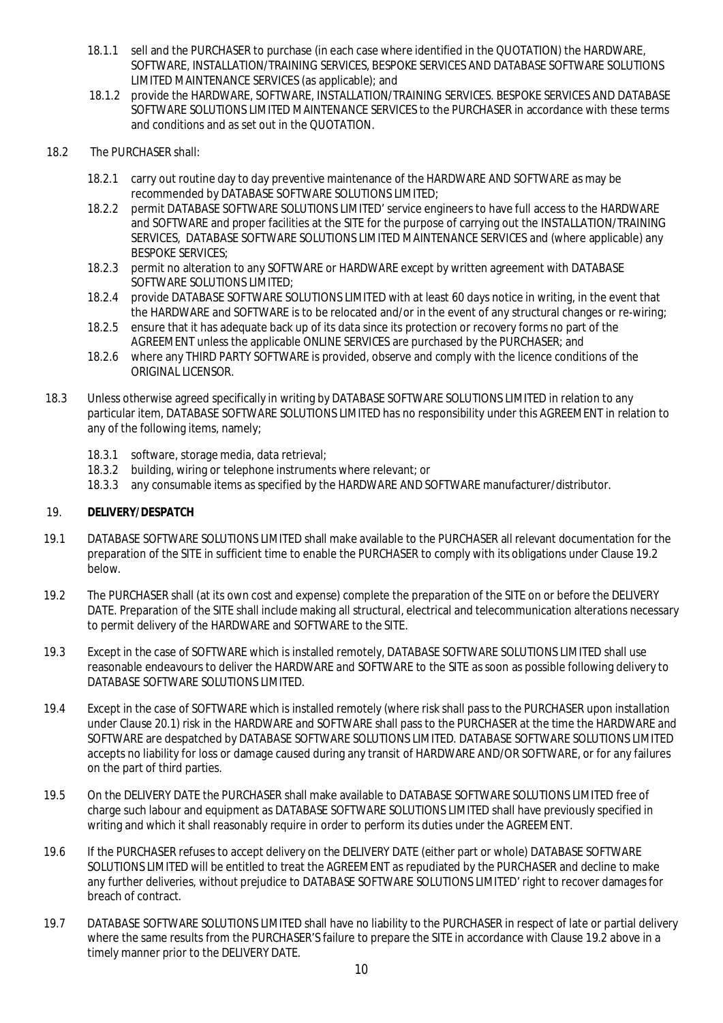- 18.1.1 sell and the PURCHASER to purchase (in each case where identified in the QUOTATION) the HARDWARE, SOFTWARE, INSTALLATION/TRAINING SERVICES, BESPOKE SERVICES AND DATABASE SOFTWARE SOLUTIONS LIMITED MAINTENANCE SERVICES (as applicable); and
- 18.1.2 provide the HARDWARE, SOFTWARE, INSTALLATION/TRAINING SERVICES. BESPOKE SERVICES AND DATABASE SOFTWARE SOLUTIONS LIMITED MAINTENANCE SERVICES to the PURCHASER in accordance with these terms and conditions and as set out in the QUOTATION.
- 18.2 The PURCHASER shall:
	- 18.2.1 carry out routine day to day preventive maintenance of the HARDWARE AND SOFTWARE as may be recommended by DATABASE SOFTWARE SOLUTIONS LIMITED;
	- 18.2.2 permit DATABASE SOFTWARE SOLUTIONS LIMITED' service engineers to have full access to the HARDWARE and SOFTWARE and proper facilities at the SITE for the purpose of carrying out the INSTALLATION/TRAINING SERVICES, DATABASE SOFTWARE SOLUTIONS LIMITED MAINTENANCE SERVICES and (where applicable) any BESPOKE SERVICES;
	- 18.2.3 permit no alteration to any SOFTWARE or HARDWARE except by written agreement with DATABASE SOFTWARE SOLUTIONS LIMITED;
	- 18.2.4 provide DATABASE SOFTWARE SOLUTIONS LIMITED with at least 60 days notice in writing, in the event that the HARDWARE and SOFTWARE is to be relocated and/or in the event of any structural changes or re-wiring;
	- 18.2.5 ensure that it has adequate back up of its data since its protection or recovery forms no part of the AGREEMENT unless the applicable ONLINE SERVICES are purchased by the PURCHASER; and
	- 18.2.6 where any THIRD PARTY SOFTWARE is provided, observe and comply with the licence conditions of the ORIGINAL LICENSOR.
- 18.3 Unless otherwise agreed specifically in writing by DATABASE SOFTWARE SOLUTIONS LIMITED in relation to any particular item, DATABASE SOFTWARE SOLUTIONS LIMITED has no responsibility under this AGREEMENT in relation to any of the following items, namely;
	- 18.3.1 software, storage media, data retrieval;
	- 18.3.2 building, wiring or telephone instruments where relevant; or
	- 18.3.3 any consumable items as specified by the HARDWARE AND SOFTWARE manufacturer/distributor.

## 19. **DELIVERY/DESPATCH**

- 19.1 DATABASE SOFTWARE SOLUTIONS LIMITED shall make available to the PURCHASER all relevant documentation for the preparation of the SITE in sufficient time to enable the PURCHASER to comply with its obligations under Clause 19.2 below.
- 19.2 The PURCHASER shall (at its own cost and expense) complete the preparation of the SITE on or before the DELIVERY DATE. Preparation of the SITE shall include making all structural, electrical and telecommunication alterations necessary to permit delivery of the HARDWARE and SOFTWARE to the SITE.
- 19.3 Except in the case of SOFTWARE which is installed remotely, DATABASE SOFTWARE SOLUTIONS LIMITED shall use reasonable endeavours to deliver the HARDWARE and SOFTWARE to the SITE as soon as possible following delivery to DATABASE SOFTWARE SOLUTIONS LIMITED.
- 19.4 Except in the case of SOFTWARE which is installed remotely (where risk shall pass to the PURCHASER upon installation under Clause 20.1) risk in the HARDWARE and SOFTWARE shall pass to the PURCHASER at the time the HARDWARE and SOFTWARE are despatched by DATABASE SOFTWARE SOLUTIONS LIMITED. DATABASE SOFTWARE SOLUTIONS LIMITED accepts no liability for loss or damage caused during any transit of HARDWARE AND/OR SOFTWARE, or for any failures on the part of third parties.
- 19.5 On the DELIVERY DATE the PURCHASER shall make available to DATABASE SOFTWARE SOLUTIONS LIMITED free of charge such labour and equipment as DATABASE SOFTWARE SOLUTIONS LIMITED shall have previously specified in writing and which it shall reasonably require in order to perform its duties under the AGREEMENT.
- 19.6 If the PURCHASER refuses to accept delivery on the DELIVERY DATE (either part or whole) DATABASE SOFTWARE SOLUTIONS LIMITED will be entitled to treat the AGREEMENT as repudiated by the PURCHASER and decline to make any further deliveries, without prejudice to DATABASE SOFTWARE SOLUTIONS LIMITED' right to recover damages for breach of contract.
- 19.7 DATABASE SOFTWARE SOLUTIONS LIMITED shall have no liability to the PURCHASER in respect of late or partial delivery where the same results from the PURCHASER'S failure to prepare the SITE in accordance with Clause 19.2 above in a timely manner prior to the DELIVERY DATE.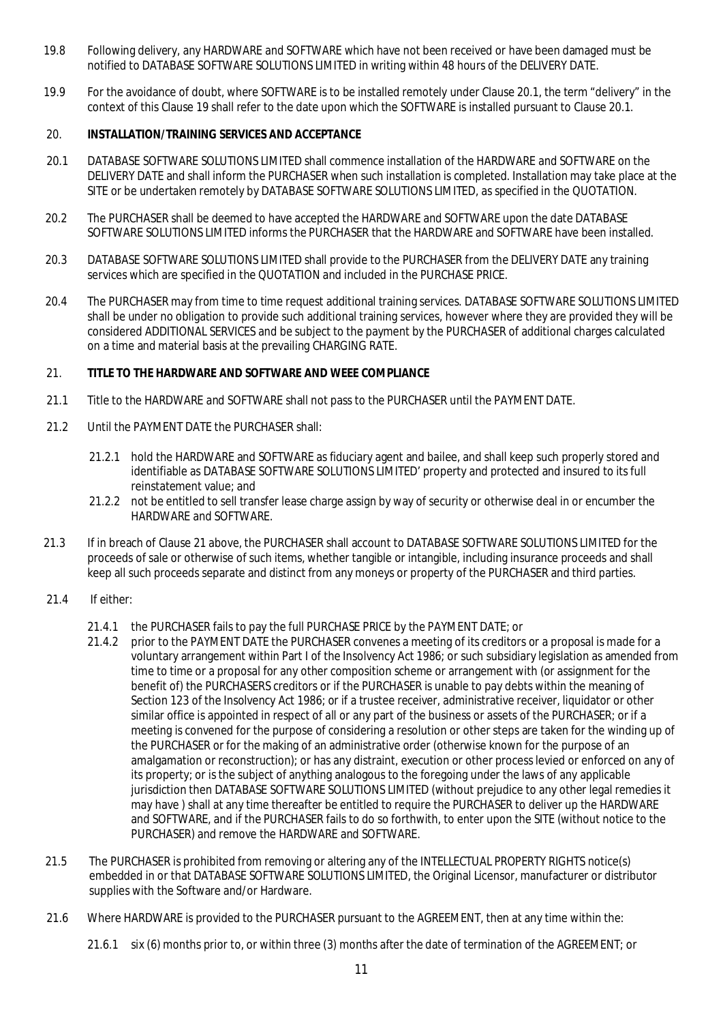- 19.8 Following delivery, any HARDWARE and SOFTWARE which have not been received or have been damaged must be notified to DATABASE SOFTWARE SOLUTIONS LIMITED in writing within 48 hours of the DELIVERY DATE.
- 19.9 For the avoidance of doubt, where SOFTWARE is to be installed remotely under Clause 20.1, the term "delivery" in the context of this Clause 19 shall refer to the date upon which the SOFTWARE is installed pursuant to Clause 20.1.
- 20. **INSTALLATION/TRAINING SERVICES AND ACCEPTANCE**
- 20.1 DATABASE SOFTWARE SOLUTIONS LIMITED shall commence installation of the HARDWARE and SOFTWARE on the DELIVERY DATE and shall inform the PURCHASER when such installation is completed. Installation may take place at the SITE or be undertaken remotely by DATABASE SOFTWARE SOLUTIONS LIMITED, as specified in the QUOTATION.
- 20.2 The PURCHASER shall be deemed to have accepted the HARDWARE and SOFTWARE upon the date DATABASE SOFTWARE SOLUTIONS LIMITED informs the PURCHASER that the HARDWARE and SOFTWARE have been installed.
- 20.3 DATABASE SOFTWARE SOLUTIONS LIMITED shall provide to the PURCHASER from the DELIVERY DATE any training services which are specified in the QUOTATION and included in the PURCHASE PRICE.
- 20.4 The PURCHASER may from time to time request additional training services. DATABASE SOFTWARE SOLUTIONS LIMITED shall be under no obligation to provide such additional training services, however where they are provided they will be considered ADDITIONAL SERVICES and be subject to the payment by the PURCHASER of additional charges calculated on a time and material basis at the prevailing CHARGING RATE.
- 21. **TITLE TO THE HARDWARE AND SOFTWARE AND WEEE COMPLIANCE**
- 21.1 Title to the HARDWARE and SOFTWARE shall not pass to the PURCHASER until the PAYMENT DATE.
- 21.2 Until the PAYMENT DATE the PURCHASER shall:
	- 21.2.1 hold the HARDWARE and SOFTWARE as fiduciary agent and bailee, and shall keep such properly stored and identifiable as DATABASE SOFTWARE SOLUTIONS LIMITED' property and protected and insured to its full reinstatement value; and
	- 21.2.2 not be entitled to sell transfer lease charge assign by way of security or otherwise deal in or encumber the HARDWARE and SOFTWARE.
- 21.3 If in breach of Clause 21 above, the PURCHASER shall account to DATABASE SOFTWARE SOLUTIONS LIMITED for the proceeds of sale or otherwise of such items, whether tangible or intangible, including insurance proceeds and shall keep all such proceeds separate and distinct from any moneys or property of the PURCHASER and third parties.
- 21.4 If either:
	- 21.4.1 the PURCHASER fails to pay the full PURCHASE PRICE by the PAYMENT DATE; or
	- 21.4.2 prior to the PAYMENT DATE the PURCHASER convenes a meeting of its creditors or a proposal is made for a voluntary arrangement within Part I of the Insolvency Act 1986; or such subsidiary legislation as amended from time to time or a proposal for any other composition scheme or arrangement with (or assignment for the benefit of) the PURCHASERS creditors or if the PURCHASER is unable to pay debts within the meaning of Section 123 of the Insolvency Act 1986; or if a trustee receiver, administrative receiver, liquidator or other similar office is appointed in respect of all or any part of the business or assets of the PURCHASER; or if a meeting is convened for the purpose of considering a resolution or other steps are taken for the winding up of the PURCHASER or for the making of an administrative order (otherwise known for the purpose of an amalgamation or reconstruction); or has any distraint, execution or other process levied or enforced on any of its property; or is the subject of anything analogous to the foregoing under the laws of any applicable jurisdiction then DATABASE SOFTWARE SOLUTIONS LIMITED (without prejudice to any other legal remedies it may have ) shall at any time thereafter be entitled to require the PURCHASER to deliver up the HARDWARE and SOFTWARE, and if the PURCHASER fails to do so forthwith, to enter upon the SITE (without notice to the PURCHASER) and remove the HARDWARE and SOFTWARE.
- 21.5 The PURCHASER is prohibited from removing or altering any of the INTELLECTUAL PROPERTY RIGHTS notice(s) embedded in or that DATABASE SOFTWARE SOLUTIONS LIMITED, the Original Licensor, manufacturer or distributor supplies with the Software and/or Hardware.
- 21.6 Where HARDWARE is provided to the PURCHASER pursuant to the AGREEMENT, then at any time within the:
	- 21.6.1 six (6) months prior to, or within three (3) months after the date of termination of the AGREEMENT; or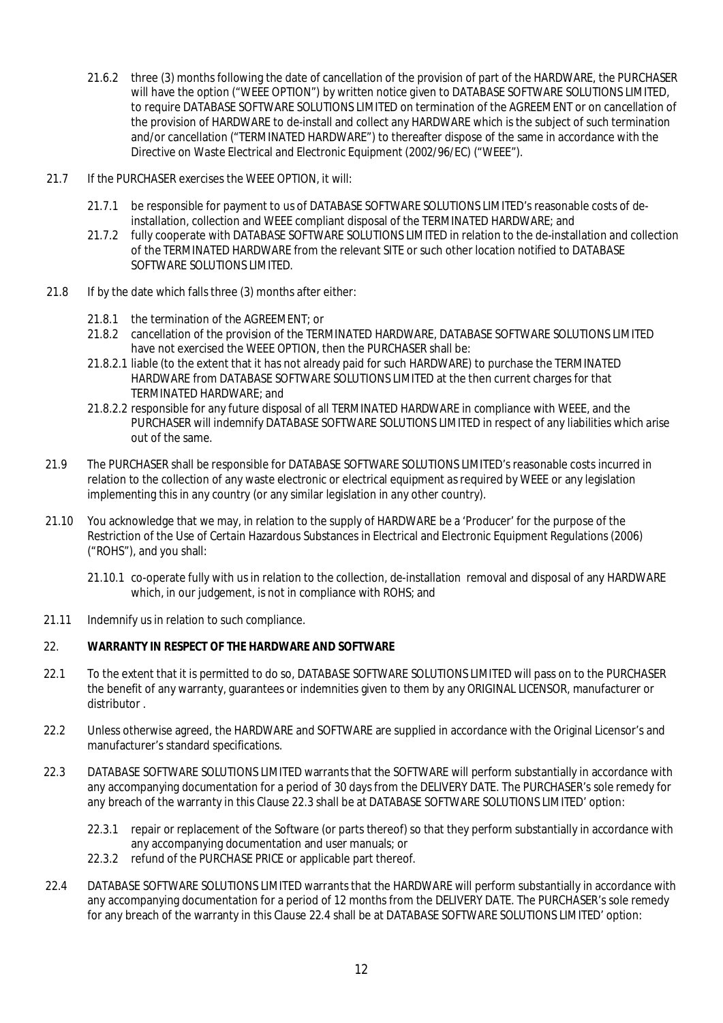- 21.6.2 three (3) months following the date of cancellation of the provision of part of the HARDWARE, the PURCHASER will have the option ("WEEE OPTION") by written notice given to DATABASE SOFTWARE SOLUTIONS LIMITED, to require DATABASE SOFTWARE SOLUTIONS LIMITED on termination of the AGREEMENT or on cancellation of the provision of HARDWARE to de-install and collect any HARDWARE which is the subject of such termination and/or cancellation ("TERMINATED HARDWARE") to thereafter dispose of the same in accordance with the Directive on Waste Electrical and Electronic Equipment (2002/96/EC) ("WEEE").
- 21.7 If the PURCHASER exercises the WEEE OPTION, it will:
	- 21.7.1 be responsible for payment to us of DATABASE SOFTWARE SOLUTIONS LIMITED's reasonable costs of deinstallation, collection and WEEE compliant disposal of the TERMINATED HARDWARE; and
	- 21.7.2 fully cooperate with DATABASE SOFTWARE SOLUTIONS LIMITED in relation to the de-installation and collection of the TERMINATED HARDWARE from the relevant SITE or such other location notified to DATABASE SOFTWARE SOLUTIONS LIMITED.
- 21.8 If by the date which falls three (3) months after either:
	- 21.8.1 the termination of the AGREEMENT; or
	- 21.8.2 cancellation of the provision of the TERMINATED HARDWARE, DATABASE SOFTWARE SOLUTIONS LIMITED have not exercised the WEEE OPTION, then the PURCHASER shall be:
	- 21.8.2.1 liable (to the extent that it has not already paid for such HARDWARE) to purchase the TERMINATED HARDWARE from DATABASE SOFTWARE SOLUTIONS LIMITED at the then current charges for that TERMINATED HARDWARE; and
	- 21.8.2.2 responsible for any future disposal of all TERMINATED HARDWARE in compliance with WEEE, and the PURCHASER will indemnify DATABASE SOFTWARE SOLUTIONS LIMITED in respect of any liabilities which arise out of the same.
- 21.9 The PURCHASER shall be responsible for DATABASE SOFTWARE SOLUTIONS LIMITED's reasonable costs incurred in relation to the collection of any waste electronic or electrical equipment as required by WEEE or any legislation implementing this in any country (or any similar legislation in any other country).
- 21.10 You acknowledge that we may, in relation to the supply of HARDWARE be a 'Producer' for the purpose of the Restriction of the Use of Certain Hazardous Substances in Electrical and Electronic Equipment Regulations (2006) ("ROHS"), and you shall:
	- 21.10.1 co-operate fully with us in relation to the collection, de-installation removal and disposal of any HARDWARE which, in our judgement, is not in compliance with ROHS; and
- 21.11 Indemnify us in relation to such compliance.
- 22. **WARRANTY IN RESPECT OF THE HARDWARE AND SOFTWARE**
- 22.1 To the extent that it is permitted to do so, DATABASE SOFTWARE SOLUTIONS LIMITED will pass on to the PURCHASER the benefit of any warranty, guarantees or indemnities given to them by any ORIGINAL LICENSOR, manufacturer or distributor .
- 22.2 Unless otherwise agreed, the HARDWARE and SOFTWARE are supplied in accordance with the Original Licensor's and manufacturer's standard specifications.
- 22.3 DATABASE SOFTWARE SOLUTIONS LIMITED warrants that the SOFTWARE will perform substantially in accordance with any accompanying documentation for a period of 30 days from the DELIVERY DATE. The PURCHASER's sole remedy for any breach of the warranty in this Clause 22.3 shall be at DATABASE SOFTWARE SOLUTIONS LIMITED' option:
	- 22.3.1 repair or replacement of the Software (or parts thereof) so that they perform substantially in accordance with any accompanying documentation and user manuals; or
	- 22.3.2 refund of the PURCHASE PRICE or applicable part thereof.
- 22.4 DATABASE SOFTWARE SOLUTIONS LIMITED warrants that the HARDWARE will perform substantially in accordance with any accompanying documentation for a period of 12 months from the DELIVERY DATE. The PURCHASER's sole remedy for any breach of the warranty in this Clause 22.4 shall be at DATABASE SOFTWARE SOLUTIONS LIMITED' option: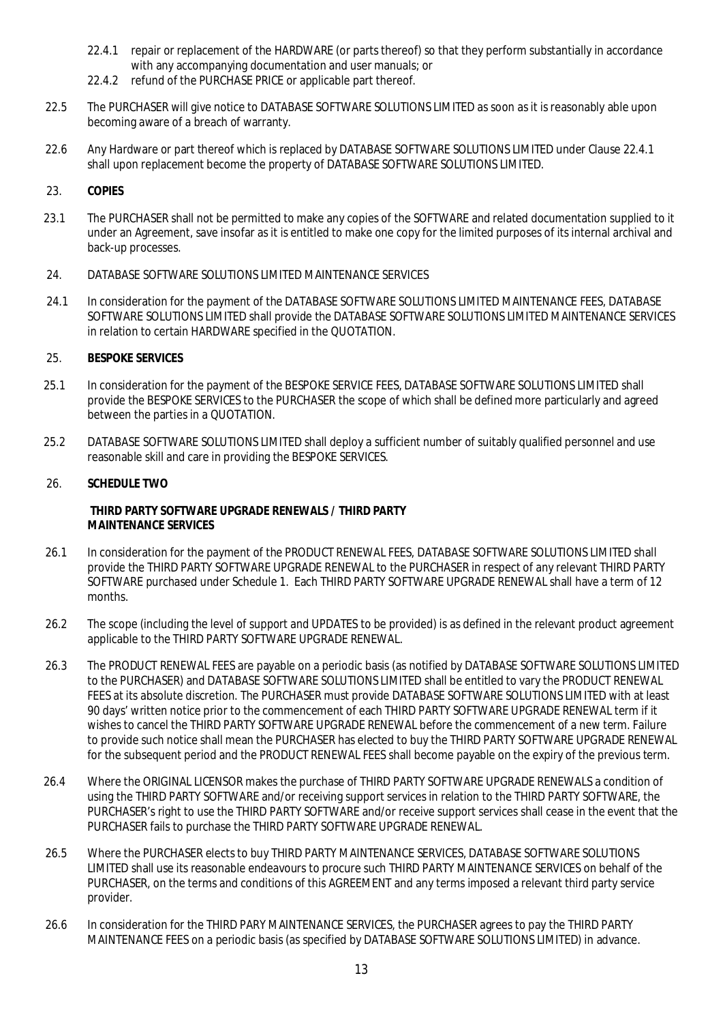- 22.4.1 repair or replacement of the HARDWARE (or parts thereof) so that they perform substantially in accordance with any accompanying documentation and user manuals; or
- 22.4.2 refund of the PURCHASE PRICE or applicable part thereof.
- 22.5 The PURCHASER will give notice to DATABASE SOFTWARE SOLUTIONS LIMITED as soon as it is reasonably able upon becoming aware of a breach of warranty.
- 22.6 Any Hardware or part thereof which is replaced by DATABASE SOFTWARE SOLUTIONS LIMITED under Clause 22.4.1 shall upon replacement become the property of DATABASE SOFTWARE SOLUTIONS LIMITED.
- 23. **COPIES**
- 23.1 The PURCHASER shall not be permitted to make any copies of the SOFTWARE and related documentation supplied to it under an Agreement, save insofar as it is entitled to make one copy for the limited purposes of its internal archival and back-up processes.
- 24. DATABASE SOFTWARE SOLUTIONS LIMITED MAINTENANCE SERVICES
- 24.1 In consideration for the payment of the DATABASE SOFTWARE SOLUTIONS LIMITED MAINTENANCE FEES, DATABASE SOFTWARE SOLUTIONS LIMITED shall provide the DATABASE SOFTWARE SOLUTIONS LIMITED MAINTENANCE SERVICES in relation to certain HARDWARE specified in the QUOTATION.
- 25. **BESPOKE SERVICES**
- 25.1 In consideration for the payment of the BESPOKE SERVICE FEES, DATABASE SOFTWARE SOLUTIONS LIMITED shall provide the BESPOKE SERVICES to the PURCHASER the scope of which shall be defined more particularly and agreed between the parties in a QUOTATION.
- 25.2 DATABASE SOFTWARE SOLUTIONS LIMITED shall deploy a sufficient number of suitably qualified personnel and use reasonable skill and care in providing the BESPOKE SERVICES.
- 26. **SCHEDULE TWO**

**THIRD PARTY SOFTWARE UPGRADE RENEWALS / THIRD PARTY MAINTENANCE SERVICES** 

- 26.1 In consideration for the payment of the PRODUCT RENEWAL FEES, DATABASE SOFTWARE SOLUTIONS LIMITED shall provide the THIRD PARTY SOFTWARE UPGRADE RENEWAL to the PURCHASER in respect of any relevant THIRD PARTY SOFTWARE purchased under Schedule 1. Each THIRD PARTY SOFTWARE UPGRADE RENEWAL shall have a term of 12 months.
- 26.2 The scope (including the level of support and UPDATES to be provided) is as defined in the relevant product agreement applicable to the THIRD PARTY SOFTWARE UPGRADE RENEWAL.
- 26.3 The PRODUCT RENEWAL FEES are payable on a periodic basis (as notified by DATABASE SOFTWARE SOLUTIONS LIMITED to the PURCHASER) and DATABASE SOFTWARE SOLUTIONS LIMITED shall be entitled to vary the PRODUCT RENEWAL FEES at its absolute discretion. The PURCHASER must provide DATABASE SOFTWARE SOLUTIONS LIMITED with at least 90 days' written notice prior to the commencement of each THIRD PARTY SOFTWARE UPGRADE RENEWAL term if it wishes to cancel the THIRD PARTY SOFTWARE UPGRADE RENEWAL before the commencement of a new term. Failure to provide such notice shall mean the PURCHASER has elected to buy the THIRD PARTY SOFTWARE UPGRADE RENEWAL for the subsequent period and the PRODUCT RENEWAL FEES shall become payable on the expiry of the previous term.
- 26.4 Where the ORIGINAL LICENSOR makes the purchase of THIRD PARTY SOFTWARE UPGRADE RENEWALS a condition of using the THIRD PARTY SOFTWARE and/or receiving support services in relation to the THIRD PARTY SOFTWARE, the PURCHASER's right to use the THIRD PARTY SOFTWARE and/or receive support services shall cease in the event that the PURCHASER fails to purchase the THIRD PARTY SOFTWARE UPGRADE RENEWAL.
- 26.5 Where the PURCHASER elects to buy THIRD PARTY MAINTENANCE SERVICES, DATABASE SOFTWARE SOLUTIONS LIMITED shall use its reasonable endeavours to procure such THIRD PARTY MAINTENANCE SERVICES on behalf of the PURCHASER, on the terms and conditions of this AGREEMENT and any terms imposed a relevant third party service provider.
- 26.6 In consideration for the THIRD PARY MAINTENANCE SERVICES, the PURCHASER agrees to pay the THIRD PARTY MAINTENANCE FEES on a periodic basis (as specified by DATABASE SOFTWARE SOLUTIONS LIMITED) in advance.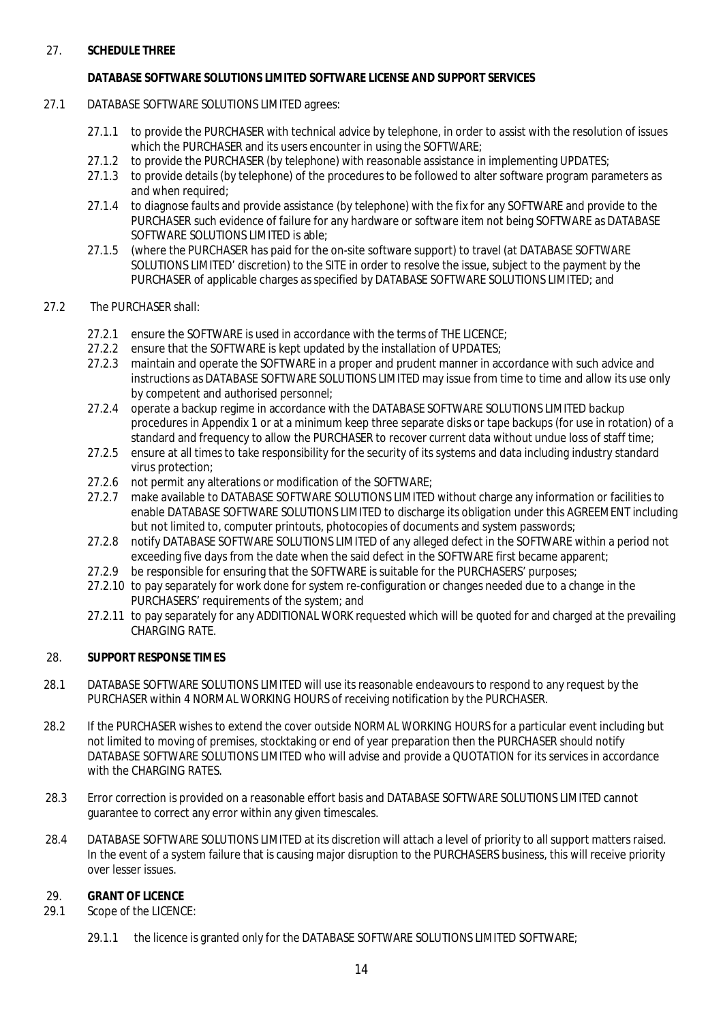# 27. **SCHEDULE THREE**

## **DATABASE SOFTWARE SOLUTIONS LIMITED SOFTWARE LICENSE AND SUPPORT SERVICES**

## 27.1 DATABASE SOFTWARE SOLUTIONS LIMITED agrees:

- 27.1.1 to provide the PURCHASER with technical advice by telephone, in order to assist with the resolution of issues which the PURCHASER and its users encounter in using the SOFTWARE;
- 27.1.2 to provide the PURCHASER (by telephone) with reasonable assistance in implementing UPDATES;
- 27.1.3 to provide details (by telephone) of the procedures to be followed to alter software program parameters as and when required;
- 27.1.4 to diagnose faults and provide assistance (by telephone) with the fix for any SOFTWARE and provide to the PURCHASER such evidence of failure for any hardware or software item not being SOFTWARE as DATABASE SOFTWARE SOLUTIONS LIMITED is able;
- 27.1.5 (where the PURCHASER has paid for the on-site software support) to travel (at DATABASE SOFTWARE SOLUTIONS LIMITED' discretion) to the SITE in order to resolve the issue, subject to the payment by the PURCHASER of applicable charges as specified by DATABASE SOFTWARE SOLUTIONS LIMITED; and

## 27.2 The PURCHASER shall:

- 27.2.1 ensure the SOFTWARE is used in accordance with the terms of THE LICENCE;
- 27.2.2 ensure that the SOFTWARE is kept updated by the installation of UPDATES;
- 27.2.3 maintain and operate the SOFTWARE in a proper and prudent manner in accordance with such advice and instructions as DATABASE SOFTWARE SOLUTIONS LIMITED may issue from time to time and allow its use only by competent and authorised personnel;
- 27.2.4 operate a backup regime in accordance with the DATABASE SOFTWARE SOLUTIONS LIMITED backup procedures in Appendix 1 or at a minimum keep three separate disks or tape backups (for use in rotation) of a standard and frequency to allow the PURCHASER to recover current data without undue loss of staff time;
- 27.2.5 ensure at all times to take responsibility for the security of its systems and data including industry standard virus protection;
- 27.2.6 not permit any alterations or modification of the SOFTWARE;
- 27.2.7 make available to DATABASE SOFTWARE SOLUTIONS LIMITED without charge any information or facilities to enable DATABASE SOFTWARE SOLUTIONS LIMITED to discharge its obligation under this AGREEMENT including but not limited to, computer printouts, photocopies of documents and system passwords;
- 27.2.8 notify DATABASE SOFTWARE SOLUTIONS LIMITED of any alleged defect in the SOFTWARE within a period not exceeding five days from the date when the said defect in the SOFTWARE first became apparent;
- 27.2.9 be responsible for ensuring that the SOFTWARE is suitable for the PURCHASERS' purposes;
- 27.2.10 to pay separately for work done for system re-configuration or changes needed due to a change in the PURCHASERS' requirements of the system; and
- 27.2.11 to pay separately for any ADDITIONAL WORK requested which will be quoted for and charged at the prevailing CHARGING RATE.
- 28. **SUPPORT RESPONSE TIMES**
- 28.1 DATABASE SOFTWARE SOLUTIONS LIMITED will use its reasonable endeavours to respond to any request by the PURCHASER within 4 NORMAL WORKING HOURS of receiving notification by the PURCHASER.
- 28.2 If the PURCHASER wishes to extend the cover outside NORMAL WORKING HOURS for a particular event including but not limited to moving of premises, stocktaking or end of year preparation then the PURCHASER should notify DATABASE SOFTWARE SOLUTIONS LIMITED who will advise and provide a QUOTATION for its services in accordance with the CHARGING RATES.
- 28.3 Error correction is provided on a reasonable effort basis and DATABASE SOFTWARE SOLUTIONS LIMITED cannot guarantee to correct any error within any given timescales.
- 28.4 DATABASE SOFTWARE SOLUTIONS LIMITED at its discretion will attach a level of priority to all support matters raised. In the event of a system failure that is causing major disruption to the PURCHASERS business, this will receive priority over lesser issues.
- 29. **GRANT OF LICENCE**
- 29.1 Scope of the LICENCE:
	- 29.1.1 the licence is granted only for the DATABASE SOFTWARE SOLUTIONS LIMITED SOFTWARE;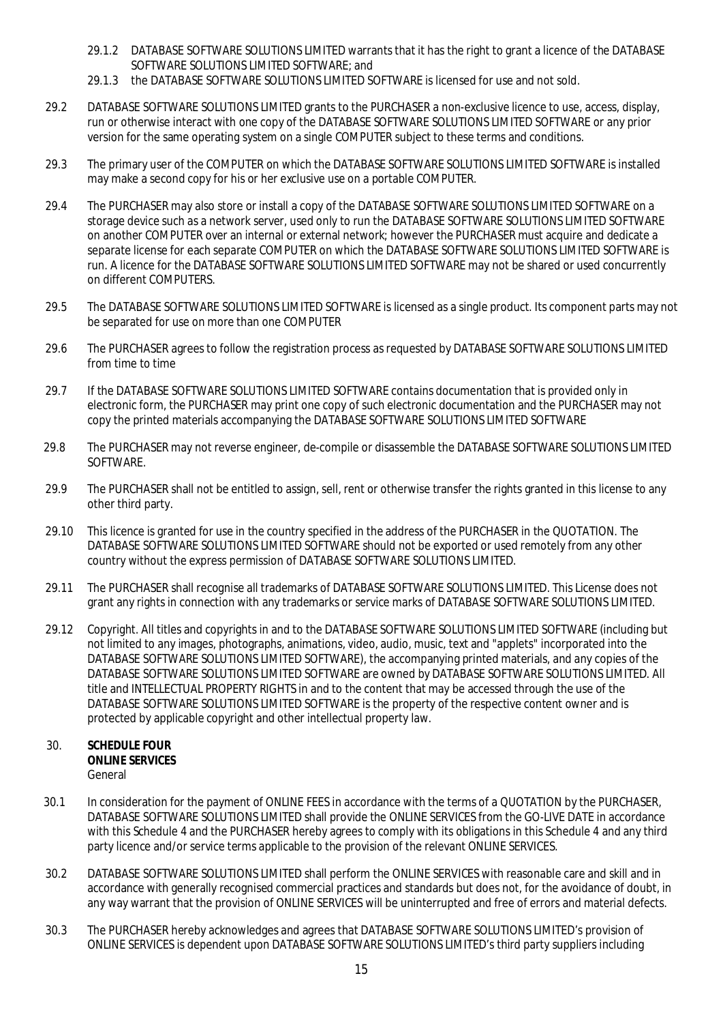- 29.1.2 DATABASE SOFTWARE SOLUTIONS LIMITED warrants that it has the right to grant a licence of the DATABASE SOFTWARE SOLUTIONS LIMITED SOFTWARE; and
- 29.1.3 the DATABASE SOFTWARE SOLUTIONS LIMITED SOFTWARE is licensed for use and not sold.
- 29.2 DATABASE SOFTWARE SOLUTIONS LIMITED grants to the PURCHASER a non-exclusive licence to use, access, display, run or otherwise interact with one copy of the DATABASE SOFTWARE SOLUTIONS LIMITED SOFTWARE or any prior version for the same operating system on a single COMPUTER subject to these terms and conditions.
- 29.3 The primary user of the COMPUTER on which the DATABASE SOFTWARE SOLUTIONS LIMITED SOFTWARE is installed may make a second copy for his or her exclusive use on a portable COMPUTER.
- 29.4 The PURCHASER may also store or install a copy of the DATABASE SOFTWARE SOLUTIONS LIMITED SOFTWARE on a storage device such as a network server, used only to run the DATABASE SOFTWARE SOLUTIONS LIMITED SOFTWARE on another COMPUTER over an internal or external network; however the PURCHASER must acquire and dedicate a separate license for each separate COMPUTER on which the DATABASE SOFTWARE SOLUTIONS LIMITED SOFTWARE is run. A licence for the DATABASE SOFTWARE SOLUTIONS LIMITED SOFTWARE may not be shared or used concurrently on different COMPUTERS.
- 29.5 The DATABASE SOFTWARE SOLUTIONS LIMITED SOFTWARE is licensed as a single product. Its component parts may not be separated for use on more than one COMPUTER
- 29.6 The PURCHASER agrees to follow the registration process as requested by DATABASE SOFTWARE SOLUTIONS LIMITED from time to time
- 29.7 If the DATABASE SOFTWARE SOLUTIONS LIMITED SOFTWARE contains documentation that is provided only in electronic form, the PURCHASER may print one copy of such electronic documentation and the PURCHASER may not copy the printed materials accompanying the DATABASE SOFTWARE SOLUTIONS LIMITED SOFTWARE
- 29.8 The PURCHASER may not reverse engineer, de-compile or disassemble the DATABASE SOFTWARE SOLUTIONS LIMITED SOFTWARE.
- 29.9 The PURCHASER shall not be entitled to assign, sell, rent or otherwise transfer the rights granted in this license to any other third party.
- 29.10 This licence is granted for use in the country specified in the address of the PURCHASER in the QUOTATION. The DATABASE SOFTWARE SOLUTIONS LIMITED SOFTWARE should not be exported or used remotely from any other country without the express permission of DATABASE SOFTWARE SOLUTIONS LIMITED.
- 29.11 The PURCHASER shall recognise all trademarks of DATABASE SOFTWARE SOLUTIONS LIMITED. This License does not grant any rights in connection with any trademarks or service marks of DATABASE SOFTWARE SOLUTIONS LIMITED.
- 29.12 Copyright. All titles and copyrights in and to the DATABASE SOFTWARE SOLUTIONS LIMITED SOFTWARE (including but not limited to any images, photographs, animations, video, audio, music, text and "applets" incorporated into the DATABASE SOFTWARE SOLUTIONS LIMITED SOFTWARE), the accompanying printed materials, and any copies of the DATABASE SOFTWARE SOLUTIONS LIMITED SOFTWARE are owned by DATABASE SOFTWARE SOLUTIONS LIMITED. All title and INTELLECTUAL PROPERTY RIGHTS in and to the content that may be accessed through the use of the DATABASE SOFTWARE SOLUTIONS LIMITED SOFTWARE is the property of the respective content owner and is protected by applicable copyright and other intellectual property law.
- 30. **SCHEDULE FOUR ONLINE SERVICES**  General
- 30.1 In consideration for the payment of ONLINE FEES in accordance with the terms of a QUOTATION by the PURCHASER, DATABASE SOFTWARE SOLUTIONS LIMITED shall provide the ONLINE SERVICES from the GO-LIVE DATE in accordance with this Schedule 4 and the PURCHASER hereby agrees to comply with its obligations in this Schedule 4 and any third party licence and/or service terms applicable to the provision of the relevant ONLINE SERVICES.
- 30.2 DATABASE SOFTWARE SOLUTIONS LIMITED shall perform the ONLINE SERVICES with reasonable care and skill and in accordance with generally recognised commercial practices and standards but does not, for the avoidance of doubt, in any way warrant that the provision of ONLINE SERVICES will be uninterrupted and free of errors and material defects.
- 30.3 The PURCHASER hereby acknowledges and agrees that DATABASE SOFTWARE SOLUTIONS LIMITED's provision of ONLINE SERVICES is dependent upon DATABASE SOFTWARE SOLUTIONS LIMITED's third party suppliers including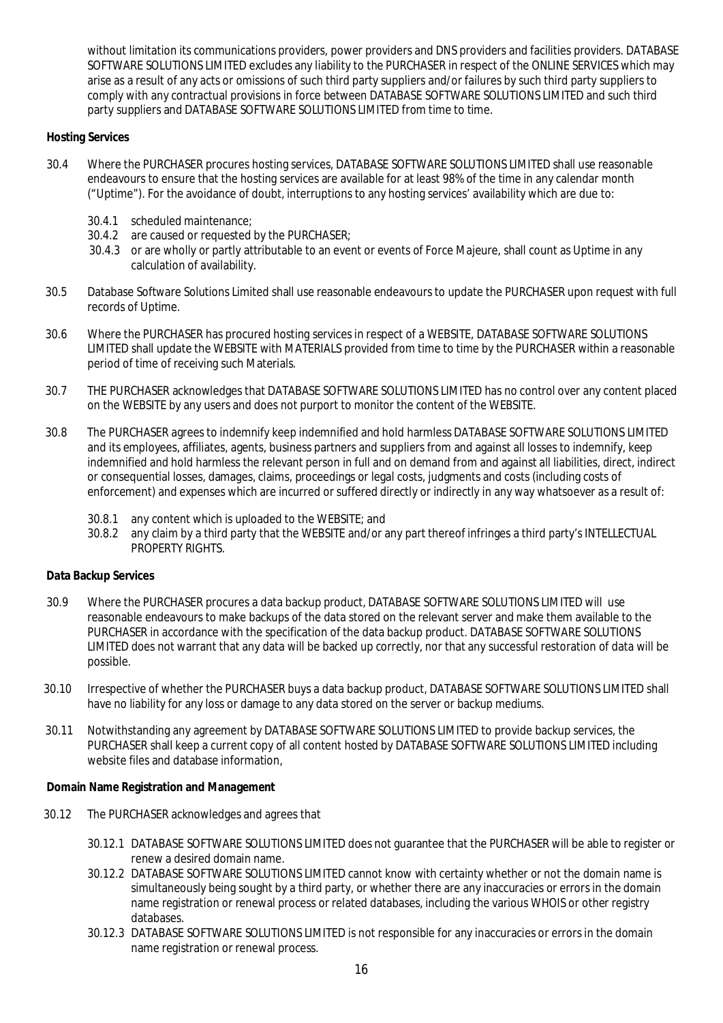without limitation its communications providers, power providers and DNS providers and facilities providers. DATABASE SOFTWARE SOLUTIONS LIMITED excludes any liability to the PURCHASER in respect of the ONLINE SERVICES which may arise as a result of any acts or omissions of such third party suppliers and/or failures by such third party suppliers to comply with any contractual provisions in force between DATABASE SOFTWARE SOLUTIONS LIMITED and such third party suppliers and DATABASE SOFTWARE SOLUTIONS LIMITED from time to time.

### **Hosting Services**

- 30.4 Where the PURCHASER procures hosting services, DATABASE SOFTWARE SOLUTIONS LIMITED shall use reasonable endeavours to ensure that the hosting services are available for at least 98% of the time in any calendar month ("Uptime"). For the avoidance of doubt, interruptions to any hosting services' availability which are due to:
	- 30.4.1 scheduled maintenance;
	- 30.4.2 are caused or requested by the PURCHASER;
	- 30.4.3 or are wholly or partly attributable to an event or events of Force Majeure, shall count as Uptime in any calculation of availability.
- 30.5 Database Software Solutions Limited shall use reasonable endeavours to update the PURCHASER upon request with full records of Uptime.
- 30.6 Where the PURCHASER has procured hosting services in respect of a WEBSITE, DATABASE SOFTWARE SOLUTIONS LIMITED shall update the WEBSITE with MATERIALS provided from time to time by the PURCHASER within a reasonable period of time of receiving such Materials.
- 30.7 THE PURCHASER acknowledges that DATABASE SOFTWARE SOLUTIONS LIMITED has no control over any content placed on the WEBSITE by any users and does not purport to monitor the content of the WEBSITE.
- 30.8 The PURCHASER agrees to indemnify keep indemnified and hold harmless DATABASE SOFTWARE SOLUTIONS LIMITED and its employees, affiliates, agents, business partners and suppliers from and against all losses to indemnify, keep indemnified and hold harmless the relevant person in full and on demand from and against all liabilities, direct, indirect or consequential losses, damages, claims, proceedings or legal costs, judgments and costs (including costs of enforcement) and expenses which are incurred or suffered directly or indirectly in any way whatsoever as a result of:
	- 30.8.1 any content which is uploaded to the WEBSITE; and
	- 30.8.2 any claim by a third party that the WEBSITE and/or any part thereof infringes a third party's INTELLECTUAL PROPERTY RIGHTS.

### **Data Backup Services**

- 30.9 Where the PURCHASER procures a data backup product, DATABASE SOFTWARE SOLUTIONS LIMITED will use reasonable endeavours to make backups of the data stored on the relevant server and make them available to the PURCHASER in accordance with the specification of the data backup product. DATABASE SOFTWARE SOLUTIONS LIMITED does not warrant that any data will be backed up correctly, nor that any successful restoration of data will be possible.
- 30.10 Irrespective of whether the PURCHASER buys a data backup product, DATABASE SOFTWARE SOLUTIONS LIMITED shall have no liability for any loss or damage to any data stored on the server or backup mediums.
- 30.11 Notwithstanding any agreement by DATABASE SOFTWARE SOLUTIONS LIMITED to provide backup services, the PURCHASER shall keep a current copy of all content hosted by DATABASE SOFTWARE SOLUTIONS LIMITED including website files and database information,

 **Domain Name Registration and Management** 

- 30.12 The PURCHASER acknowledges and agrees that
	- 30.12.1 DATABASE SOFTWARE SOLUTIONS LIMITED does not guarantee that the PURCHASER will be able to register or renew a desired domain name.
	- 30.12.2 DATABASE SOFTWARE SOLUTIONS LIMITED cannot know with certainty whether or not the domain name is simultaneously being sought by a third party, or whether there are any inaccuracies or errors in the domain name registration or renewal process or related databases, including the various WHOIS or other registry databases.
	- 30.12.3 DATABASE SOFTWARE SOLUTIONS LIMITED is not responsible for any inaccuracies or errors in the domain name registration or renewal process.